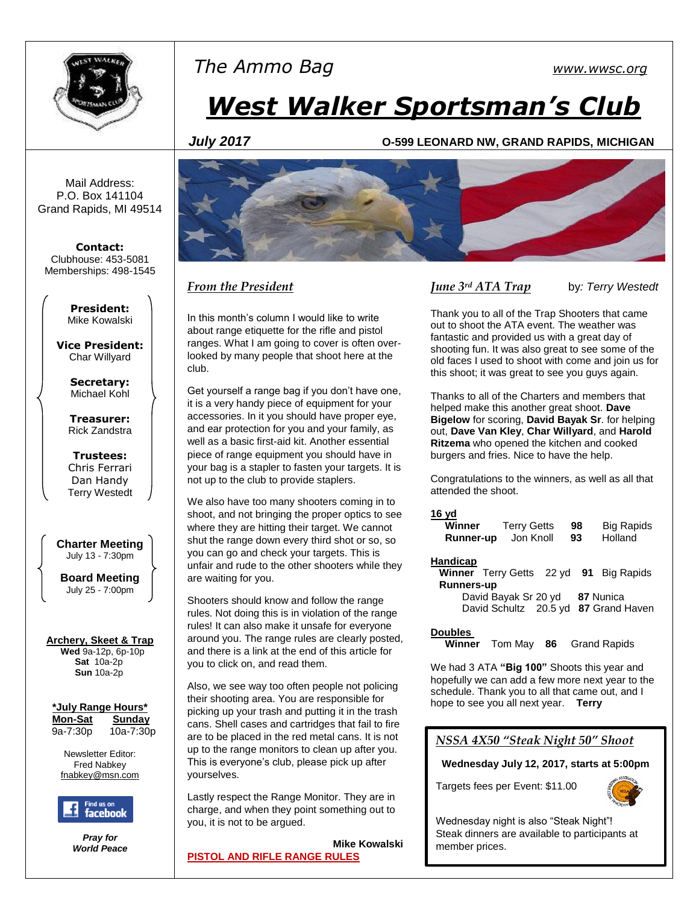

## *The Ammo Bag [www.wwsc.org](http://www.wwsc.org/)*

# *West Walker Sportsman's Club*

#### *July 2017* **O-599 LEONARD NW, GRAND RAPIDS, MICHIGAN**

Mail Address: P.O. Box 141104 Grand Rapids, MI 49514

**Contact:** Clubhouse: 453-5081 Memberships: 498-1545

> **President:** Mike Kowalski

**Vice President:** Char Willyard

> **Secretary:** Michael Kohl

**Treasurer:** Rick Zandstra

**Trustees:** Chris Ferrari Dan Handy Terry Westedt

**Charter Meeting**  July 13 - 7:30pm

**Board Meeting** July 25 - 7:00pm

#### **Archery, Skeet & Trap**

 **Wed** 9a-12p, 6p-10p **Sat** 10a-2p **Sun** 10a-2p

| *July Range Hours* |           |
|--------------------|-----------|
| <b>Mon-Sat</b>     | Sundav    |
| 9a-7:30p           | 10a-7:30p |

Newsletter Editor:

Fred Nabkey [fnabkey@msn.com](mailto:fnabkey@msn.com)



*Pray for World Peace*



## *From the President*

In this month's column I would like to write about range etiquette for the rifle and pistol ranges. What I am going to cover is often overlooked by many people that shoot here at the club.

Get yourself a range bag if you don't have one, it is a very handy piece of equipment for your accessories. In it you should have proper eye, and ear protection for you and your family, as well as a basic first-aid kit. Another essential piece of range equipment you should have in your bag is a stapler to fasten your targets. It is not up to the club to provide staplers.

We also have too many shooters coming in to shoot, and not bringing the proper optics to see where they are hitting their target. We cannot shut the range down every third shot or so, so you can go and check your targets. This is unfair and rude to the other shooters while they are waiting for you.

Shooters should know and follow the range rules. Not doing this is in violation of the range rules! It can also make it unsafe for everyone around you. The range rules are clearly posted, and there is a link at the end of this article for you to click on, and read them.

Also, we see way too often people not policing their shooting area. You are responsible for picking up your trash and putting it in the trash cans. Shell cases and cartridges that fail to fire are to be placed in the red metal cans. It is not up to the range monitors to clean up after you. This is everyone's club, please pick up after yourselves.

Lastly respect the Range Monitor. They are in charge, and when they point something out to you, it is not to be argued.

 **Mike Kowalski [PISTOL AND RIFLE RANGE RULES](http://www.wwsc.org/img/ranges/RangeRules.pdf)**

## *June 3rd ATA Trap* by*: Terry Westedt*

Thank you to all of the Trap Shooters that came out to shoot the ATA event. The weather was fantastic and provided us with a great day of shooting fun. It was also great to see some of the old faces I used to shoot with come and join us for this shoot; it was great to see you guys again.

Thanks to all of the Charters and members that helped make this another great shoot. **Dave Bigelow** for scoring, **David Bayak Sr**. for helping out, **Dave Van Kley**, **Char Willyard**, and **Harold Ritzema** who opened the kitchen and cooked burgers and fries. Nice to have the help.

Congratulations to the winners, as well as all that attended the shoot.

#### **16 yd**

| Winner           | <b>Terry Getts</b> | 98 | <b>Big Rapids</b> |
|------------------|--------------------|----|-------------------|
| <b>Runner-up</b> | Jon Knoll          | 93 | Holland           |

#### **Handicap**

- **Winner** Terry Getts 22 yd **91** Big Rapids **Runners-up** David Bayak Sr 20 yd **87** Nunica
	- David Schultz 20.5 yd **87** Grand Haven

#### **Doubles**

**Winner** Tom May **86** Grand Rapids

We had 3 ATA **"Big 100"** Shoots this year and hopefully we can add a few more next year to the schedule. Thank you to all that came out, and I hope to see you all next year. **Terry**

## *NSSA 4X50 "Steak Night 50" Shoot*

**Wednesday July 12, 2017, starts at 5:00pm**

Targets fees per Event: \$11.00



Wednesday night is also "Steak Night"! Steak dinners are available to participants at member prices.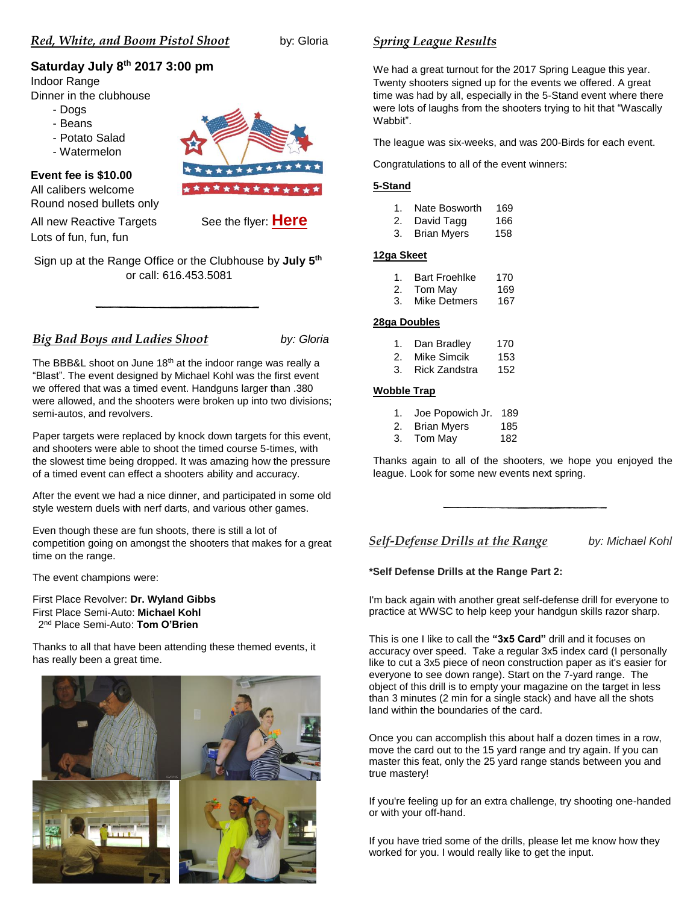## **Saturday July 8th 2017 3:00 pm**

## Indoor Range

Dinner in the clubhouse

- Dogs
- Beans
- Potato Salad
- Watermelon



## **Event fee is \$10.00**

All calibers welcome Round nosed bullets only

All new Reactive Targets See the flyer: **[Here](http://www.wwsc.org/img/archives/2017/2017_RWB_flyer.pdf)**

Lots of fun, fun, fun

Sign up at the Range Office or the Clubhouse by **July 5th** or call: 616.453.5081

## *Big Bad Boys and Ladies Shoot by: Gloria*

The BBB&L shoot on June  $18<sup>th</sup>$  at the indoor range was really a "Blast". The event designed by Michael Kohl was the first event we offered that was a timed event. Handguns larger than .380 were allowed, and the shooters were broken up into two divisions; semi-autos, and revolvers.

Paper targets were replaced by knock down targets for this event, and shooters were able to shoot the timed course 5-times, with the slowest time being dropped. It was amazing how the pressure of a timed event can effect a shooters ability and accuracy.

After the event we had a nice dinner, and participated in some old style western duels with nerf darts, and various other games.

Even though these are fun shoots, there is still a lot of competition going on amongst the shooters that makes for a great time on the range.

The event champions were:

First Place Revolver: **Dr. Wyland Gibbs** First Place Semi-Auto: **Michael Kohl** 2 nd Place Semi-Auto: **Tom O'Brien**

Thanks to all that have been attending these themed events, it has really been a great time.



## *Spring League Results*

We had a great turnout for the 2017 Spring League this year. Twenty shooters signed up for the events we offered. A great time was had by all, especially in the 5-Stand event where there were lots of laughs from the shooters trying to hit that "Wascally Wabbit".

The league was six-weeks, and was 200-Birds for each event.

Congratulations to all of the event winners:

#### **5-Stand**

|  | 169           |
|--|---------------|
|  | Nate Bosworth |

| 2. | David Tagg         | 166 |
|----|--------------------|-----|
| 3. | <b>Brian Myers</b> | 158 |

#### **12ga Skeet**

|     | <b>Bart Froehlke</b> | 170 |
|-----|----------------------|-----|
| -2. | Tom Mav              | 169 |

3. Mike Detmers 167

#### **28ga Doubles**

| 1. | Dan Bradley | 170 |
|----|-------------|-----|
| 2. | Mike Simcik | 153 |

| 3. | <b>Rick Zandstra</b> | 152 |
|----|----------------------|-----|
|----|----------------------|-----|

#### **Wobble Trap**

| Joe Popowich Jr. 189 |  |
|----------------------|--|
|                      |  |

- 2. Brian Myers 185
- 3. Tom May 182

Thanks again to all of the shooters, we hope you enjoyed the league. Look for some new events next spring.

*Self-Defense Drills at the Range by: Michael Kohl*

#### **\*Self Defense Drills at the Range Part 2:**

I'm back again with another great self-defense drill for everyone to practice at WWSC to help keep your handgun skills razor sharp.

This is one I like to call the **"3x5 Card"** drill and it focuses on accuracy over speed. Take a regular 3x5 index card (I personally like to cut a 3x5 piece of neon construction paper as it's easier for everyone to see down range). Start on the 7-yard range. The object of this drill is to empty your magazine on the target in less than 3 minutes (2 min for a single stack) and have all the shots land within the boundaries of the card.

Once you can accomplish this about half a dozen times in a row, move the card out to the 15 yard range and try again. If you can master this feat, only the 25 yard range stands between you and true mastery!

If you're feeling up for an extra challenge, try shooting one-handed or with your off-hand.

If you have tried some of the drills, please let me know how they worked for you. I would really like to get the input.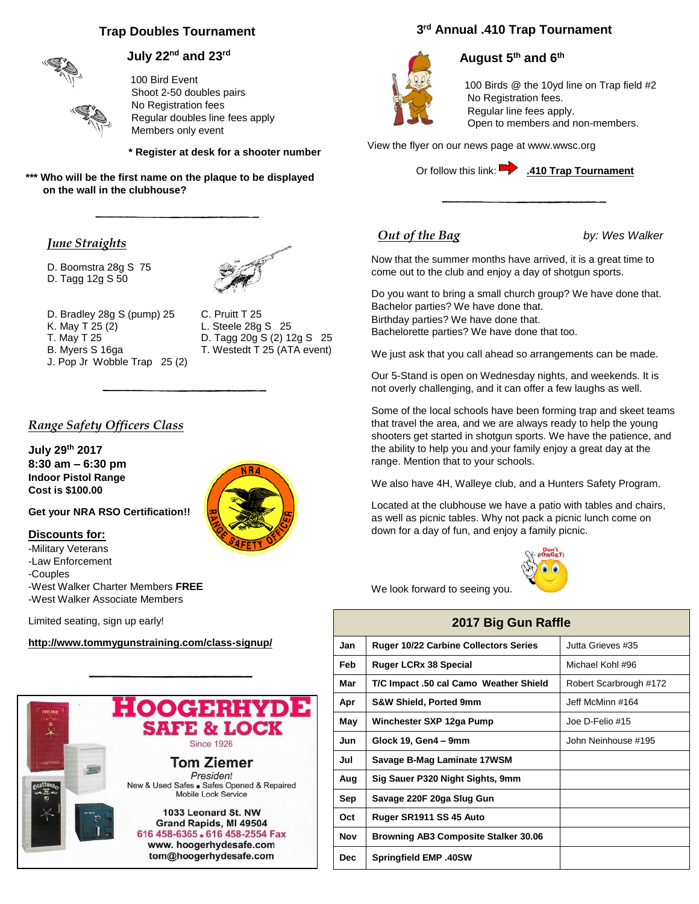## **Trap Doubles Tournament**



## **July 22nd and 23rd**

100 Bird Event Shoot 2-50 doubles pairs No Registration fees Regular doubles line fees apply Members only event

 **\* Register at desk for a shooter number**

**\*\*\* Who will be the first name on the plaque to be displayed on the wall in the clubhouse?**

#### *June Straights*

D. Boomstra 28g S 75 D. Tagg 12g S 50



D. Bradley 28g S (pump) 25 C. Pruitt T 25<br>K. May T 25 (2) L. Steele 28g K. May T 25 (2) L. Steele 28g S 25<br>
T. May T 25 D. Tagg 20g S (2) 1: B. Myers S 16ga T. Westedt T 25 (ATA event) J. Pop Jr Wobble Trap 25 (2)

D. Tagg 20g S (2) 12g S 25

#### *Range Safety Officers Class*

**July 29th 2017 8:30 am – 6:30 pm Indoor Pistol Range Cost is \$100.00**

**Get your NRA RSO Certification!!**

#### **Discounts for:**

-Military Veterans -Law Enforcement -Couples -West Walker Charter Members **FREE** -West Walker Associate Members

Limited seating, sign up early!

#### **<http://www.tommygunstraining.com/class-signup/>**



## **3 rd Annual .410 Trap Tournament**



## **August 5th and 6th**

 100 Birds @ the 10yd line on Trap field #2 No Registration fees. Regular line fees apply. Open to members and non-members.

View the flyer on our news page at www.wwsc.org



## *Out of the Bag* by: Wes Walker

Now that the summer months have arrived, it is a great time to come out to the club and enjoy a day of shotgun sports.

Do you want to bring a small church group? We have done that. Bachelor parties? We have done that. Birthday parties? We have done that. Bachelorette parties? We have done that too.

We just ask that you call ahead so arrangements can be made.

Our 5-Stand is open on Wednesday nights, and weekends. It is not overly challenging, and it can offer a few laughs as well.

Some of the local schools have been forming trap and skeet teams that travel the area, and we are always ready to help the young shooters get started in shotgun sports. We have the patience, and the ability to help you and your family enjoy a great day at the range. Mention that to your schools.

We also have 4H, Walleye club, and a Hunters Safety Program.

Located at the clubhouse we have a patio with tables and chairs, as well as picnic tables. Why not pack a picnic lunch come on down for a day of fun, and enjoy a family picnic.



We look forward to seeing you.

# **2017 Big Gun Raffle**

| Jan  | <b>Ruger 10/22 Carbine Collectors Series</b> | Jutta Grieves #35      |
|------|----------------------------------------------|------------------------|
| Feb  | <b>Ruger LCRx 38 Special</b>                 | Michael Kohl #96       |
| Mar  | T/C Impact .50 cal Camo Weather Shield       | Robert Scarbrough #172 |
| Apr  | <b>S&amp;W Shield, Ported 9mm</b>            | Jeff McMinn #164       |
| May  | Winchester SXP 12ga Pump                     | Joe D-Felio #15        |
| Jun  | Glock 19, Gen4 - 9mm                         | John Neinhouse #195    |
| Jul  | Savage B-Mag Laminate 17WSM                  |                        |
| Aug  | Sig Sauer P320 Night Sights, 9mm             |                        |
| Sep  | Savage 220F 20ga Slug Gun                    |                        |
| Oct  | Ruger SR1911 SS 45 Auto                      |                        |
| Nov  | Browning AB3 Composite Stalker 30.06         |                        |
| Dec. | <b>Springfield EMP .40SW</b>                 |                        |